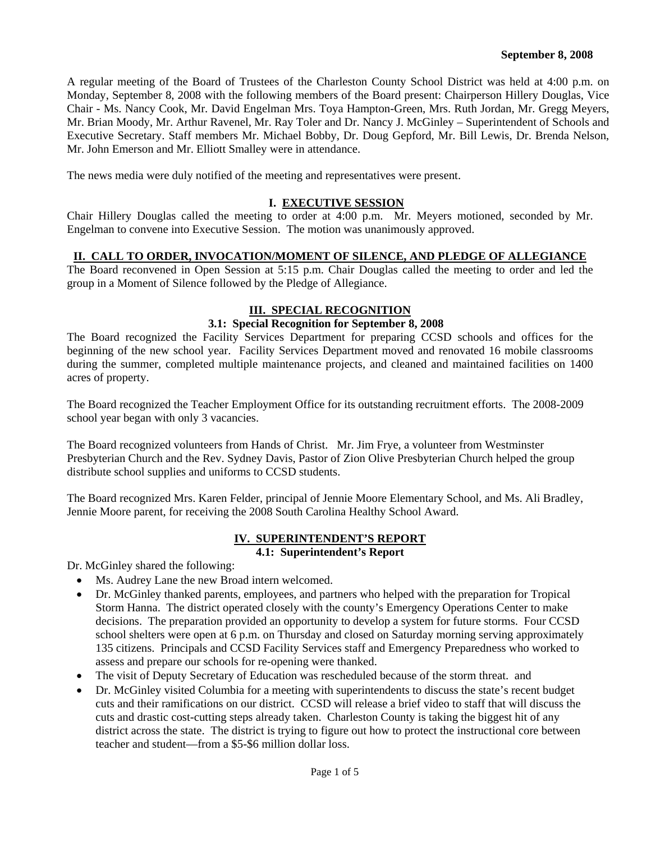A regular meeting of the Board of Trustees of the Charleston County School District was held at 4:00 p.m. on Monday, September 8, 2008 with the following members of the Board present: Chairperson Hillery Douglas, Vice Chair - Ms. Nancy Cook, Mr. David Engelman Mrs. Toya Hampton-Green, Mrs. Ruth Jordan, Mr. Gregg Meyers, Mr. Brian Moody, Mr. Arthur Ravenel, Mr. Ray Toler and Dr. Nancy J. McGinley – Superintendent of Schools and Executive Secretary. Staff members Mr. Michael Bobby, Dr. Doug Gepford, Mr. Bill Lewis, Dr. Brenda Nelson, Mr. John Emerson and Mr. Elliott Smalley were in attendance.

The news media were duly notified of the meeting and representatives were present.

## **I. EXECUTIVE SESSION**

Chair Hillery Douglas called the meeting to order at 4:00 p.m. Mr. Meyers motioned, seconded by Mr. Engelman to convene into Executive Session. The motion was unanimously approved.

## **II. CALL TO ORDER, INVOCATION/MOMENT OF SILENCE, AND PLEDGE OF ALLEGIANCE**

The Board reconvened in Open Session at 5:15 p.m. Chair Douglas called the meeting to order and led the group in a Moment of Silence followed by the Pledge of Allegiance.

## **III. SPECIAL RECOGNITION**

### **3.1: Special Recognition for September 8, 2008**

The Board recognized the Facility Services Department for preparing CCSD schools and offices for the beginning of the new school year. Facility Services Department moved and renovated 16 mobile classrooms during the summer, completed multiple maintenance projects, and cleaned and maintained facilities on 1400 acres of property.

The Board recognized the Teacher Employment Office for its outstanding recruitment efforts. The 2008-2009 school year began with only 3 vacancies.

The Board recognized volunteers from Hands of Christ. Mr. Jim Frye, a volunteer from Westminster Presbyterian Church and the Rev. Sydney Davis, Pastor of Zion Olive Presbyterian Church helped the group distribute school supplies and uniforms to CCSD students.

The Board recognized Mrs. Karen Felder, principal of Jennie Moore Elementary School, and Ms. Ali Bradley, Jennie Moore parent, for receiving the 2008 South Carolina Healthy School Award.

## **IV. SUPERINTENDENT'S REPORT**

## **4.1: Superintendent's Report**

Dr. McGinley shared the following:

- Ms. Audrey Lane the new Broad intern welcomed.
- Dr. McGinley thanked parents, employees, and partners who helped with the preparation for Tropical Storm Hanna. The district operated closely with the county's Emergency Operations Center to make decisions. The preparation provided an opportunity to develop a system for future storms. Four CCSD school shelters were open at 6 p.m. on Thursday and closed on Saturday morning serving approximately 135 citizens. Principals and CCSD Facility Services staff and Emergency Preparedness who worked to assess and prepare our schools for re-opening were thanked.
- The visit of Deputy Secretary of Education was rescheduled because of the storm threat. and
- Dr. McGinley visited Columbia for a meeting with superintendents to discuss the state's recent budget cuts and their ramifications on our district. CCSD will release a brief video to staff that will discuss the cuts and drastic cost-cutting steps already taken. Charleston County is taking the biggest hit of any district across the state. The district is trying to figure out how to protect the instructional core between teacher and student—from a \$5-\$6 million dollar loss.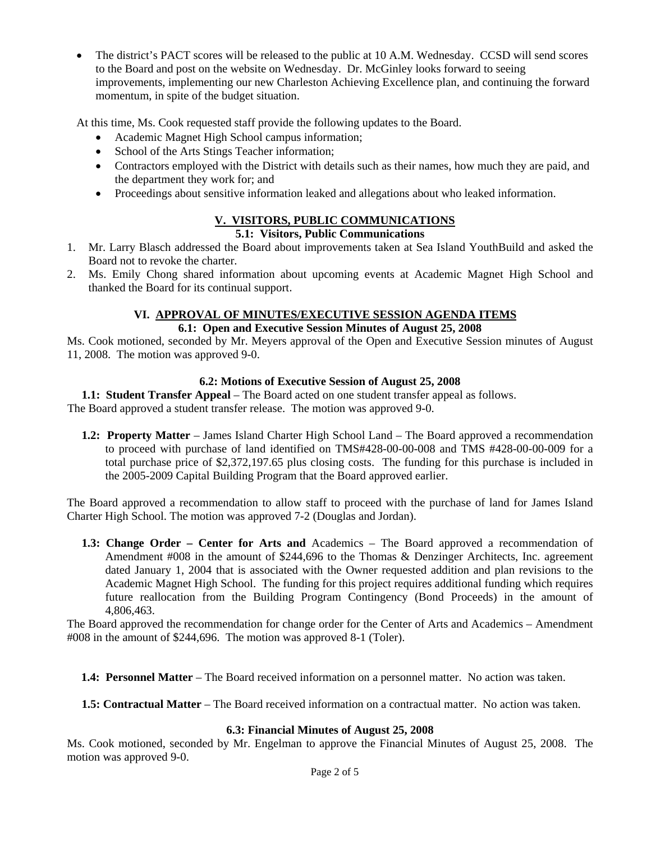• The district's PACT scores will be released to the public at 10 A.M. Wednesday. CCSD will send scores to the Board and post on the website on Wednesday. Dr. McGinley looks forward to seeing improvements, implementing our new Charleston Achieving Excellence plan, and continuing the forward momentum, in spite of the budget situation.

At this time, Ms. Cook requested staff provide the following updates to the Board.

- Academic Magnet High School campus information;
- School of the Arts Stings Teacher information;
- Contractors employed with the District with details such as their names, how much they are paid, and the department they work for; and
- Proceedings about sensitive information leaked and allegations about who leaked information.

# **V. VISITORS, PUBLIC COMMUNICATIONS**

## **5.1: Visitors, Public Communications**

- 1. Mr. Larry Blasch addressed the Board about improvements taken at Sea Island YouthBuild and asked the Board not to revoke the charter.
- 2. Ms. Emily Chong shared information about upcoming events at Academic Magnet High School and thanked the Board for its continual support.

# **VI. APPROVAL OF MINUTES/EXECUTIVE SESSION AGENDA ITEMS**

# **6.1: Open and Executive Session Minutes of August 25, 2008**

Ms. Cook motioned, seconded by Mr. Meyers approval of the Open and Executive Session minutes of August 11, 2008. The motion was approved 9-0.

## **6.2: Motions of Executive Session of August 25, 2008**

**1.1: Student Transfer Appeal** – The Board acted on one student transfer appeal as follows. The Board approved a student transfer release. The motion was approved 9-0.

**1.2: Property Matter** – James Island Charter High School Land – The Board approved a recommendation to proceed with purchase of land identified on TMS#428-00-00-008 and TMS #428-00-00-009 for a total purchase price of \$2,372,197.65 plus closing costs. The funding for this purchase is included in the 2005-2009 Capital Building Program that the Board approved earlier.

The Board approved a recommendation to allow staff to proceed with the purchase of land for James Island Charter High School. The motion was approved 7-2 (Douglas and Jordan).

**1.3: Change Order – Center for Arts and** Academics – The Board approved a recommendation of Amendment #008 in the amount of \$244,696 to the Thomas & Denzinger Architects, Inc. agreement dated January 1, 2004 that is associated with the Owner requested addition and plan revisions to the Academic Magnet High School. The funding for this project requires additional funding which requires future reallocation from the Building Program Contingency (Bond Proceeds) in the amount of 4,806,463.

The Board approved the recommendation for change order for the Center of Arts and Academics – Amendment #008 in the amount of \$244,696. The motion was approved 8-1 (Toler).

**1.4: Personnel Matter** – The Board received information on a personnel matter. No action was taken.

**1.5: Contractual Matter** – The Board received information on a contractual matter. No action was taken.

### **6.3: Financial Minutes of August 25, 2008**

Ms. Cook motioned, seconded by Mr. Engelman to approve the Financial Minutes of August 25, 2008. The motion was approved 9-0.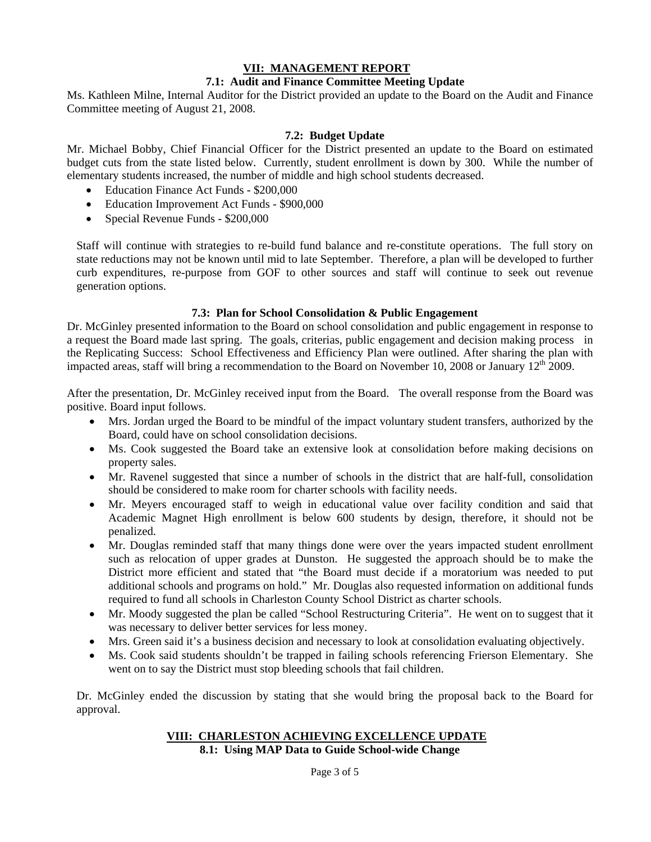# **VII: MANAGEMENT REPORT**

## **7.1: Audit and Finance Committee Meeting Update**

Ms. Kathleen Milne, Internal Auditor for the District provided an update to the Board on the Audit and Finance Committee meeting of August 21, 2008.

## **7.2: Budget Update**

Mr. Michael Bobby, Chief Financial Officer for the District presented an update to the Board on estimated budget cuts from the state listed below. Currently, student enrollment is down by 300. While the number of elementary students increased, the number of middle and high school students decreased.

- Education Finance Act Funds \$200,000
- Education Improvement Act Funds \$900,000
- Special Revenue Funds \$200,000

Staff will continue with strategies to re-build fund balance and re-constitute operations. The full story on state reductions may not be known until mid to late September. Therefore, a plan will be developed to further curb expenditures, re-purpose from GOF to other sources and staff will continue to seek out revenue generation options.

## **7.3: Plan for School Consolidation & Public Engagement**

Dr. McGinley presented information to the Board on school consolidation and public engagement in response to a request the Board made last spring. The goals, criterias, public engagement and decision making process in the Replicating Success: School Effectiveness and Efficiency Plan were outlined. After sharing the plan with impacted areas, staff will bring a recommendation to the Board on November 10, 2008 or January  $12<sup>th</sup>$  2009.

After the presentation, Dr. McGinley received input from the Board. The overall response from the Board was positive. Board input follows.

- Mrs. Jordan urged the Board to be mindful of the impact voluntary student transfers, authorized by the Board, could have on school consolidation decisions.
- Ms. Cook suggested the Board take an extensive look at consolidation before making decisions on property sales.
- Mr. Ravenel suggested that since a number of schools in the district that are half-full, consolidation should be considered to make room for charter schools with facility needs.
- Mr. Meyers encouraged staff to weigh in educational value over facility condition and said that Academic Magnet High enrollment is below 600 students by design, therefore, it should not be penalized.
- Mr. Douglas reminded staff that many things done were over the years impacted student enrollment such as relocation of upper grades at Dunston. He suggested the approach should be to make the District more efficient and stated that "the Board must decide if a moratorium was needed to put additional schools and programs on hold." Mr. Douglas also requested information on additional funds required to fund all schools in Charleston County School District as charter schools.
- Mr. Moody suggested the plan be called "School Restructuring Criteria". He went on to suggest that it was necessary to deliver better services for less money.
- Mrs. Green said it's a business decision and necessary to look at consolidation evaluating objectively.
- Ms. Cook said students shouldn't be trapped in failing schools referencing Frierson Elementary. She went on to say the District must stop bleeding schools that fail children.

Dr. McGinley ended the discussion by stating that she would bring the proposal back to the Board for approval.

# **VIII: CHARLESTON ACHIEVING EXCELLENCE UPDATE**

**8.1: Using MAP Data to Guide School-wide Change** 

Page 3 of 5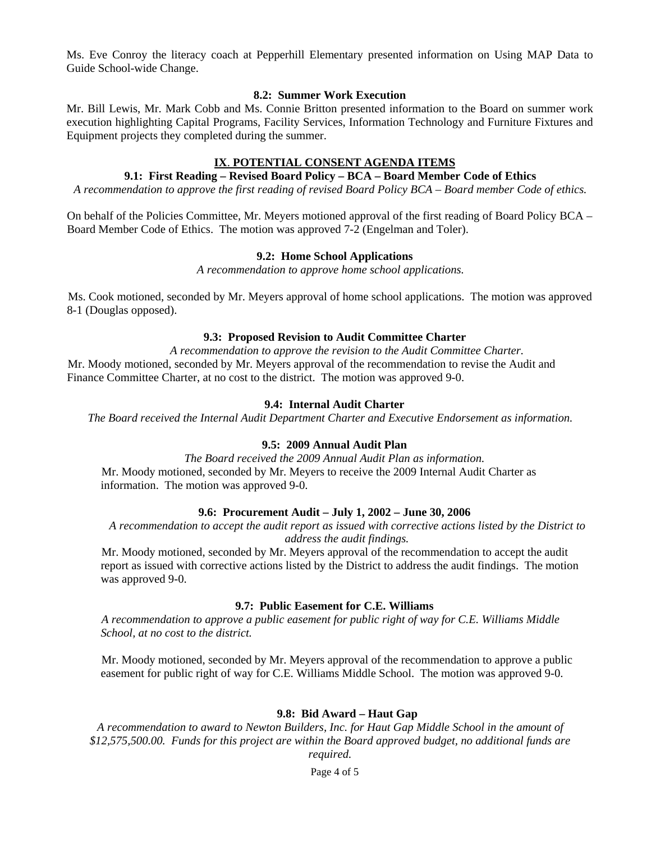Ms. Eve Conroy the literacy coach at Pepperhill Elementary presented information on Using MAP Data to Guide School-wide Change.

### **8.2: Summer Work Execution**

Mr. Bill Lewis, Mr. Mark Cobb and Ms. Connie Britton presented information to the Board on summer work execution highlighting Capital Programs, Facility Services, Information Technology and Furniture Fixtures and Equipment projects they completed during the summer.

### **IX**. **POTENTIAL CONSENT AGENDA ITEMS**

## **9.1: First Reading – Revised Board Policy – BCA – Board Member Code of Ethics**

*A recommendation to approve the first reading of revised Board Policy BCA – Board member Code of ethics.* 

On behalf of the Policies Committee, Mr. Meyers motioned approval of the first reading of Board Policy BCA – Board Member Code of Ethics. The motion was approved 7-2 (Engelman and Toler).

### **9.2: Home School Applications**

*A recommendation to approve home school applications.* 

Ms. Cook motioned, seconded by Mr. Meyers approval of home school applications. The motion was approved 8-1 (Douglas opposed).

### **9.3: Proposed Revision to Audit Committee Charter**

*A recommendation to approve the revision to the Audit Committee Charter.*  Mr. Moody motioned, seconded by Mr. Meyers approval of the recommendation to revise the Audit and Finance Committee Charter, at no cost to the district. The motion was approved 9-0.

### **9.4: Internal Audit Charter**

*The Board received the Internal Audit Department Charter and Executive Endorsement as information.* 

### **9.5: 2009 Annual Audit Plan**

*The Board received the 2009 Annual Audit Plan as information.*  Mr. Moody motioned, seconded by Mr. Meyers to receive the 2009 Internal Audit Charter as information. The motion was approved 9-0.

#### **9.6: Procurement Audit – July 1, 2002 – June 30, 2006**

*A recommendation to accept the audit report as issued with corrective actions listed by the District to address the audit findings.* 

Mr. Moody motioned, seconded by Mr. Meyers approval of the recommendation to accept the audit report as issued with corrective actions listed by the District to address the audit findings. The motion was approved 9-0.

### **9.7: Public Easement for C.E. Williams**

*A recommendation to approve a public easement for public right of way for C.E. Williams Middle School, at no cost to the district.* 

Mr. Moody motioned, seconded by Mr. Meyers approval of the recommendation to approve a public easement for public right of way for C.E. Williams Middle School. The motion was approved 9-0.

## **9.8: Bid Award – Haut Gap**

*A recommendation to award to Newton Builders, Inc. for Haut Gap Middle School in the amount of \$12,575,500.00. Funds for this project are within the Board approved budget, no additional funds are required.* 

Page 4 of 5